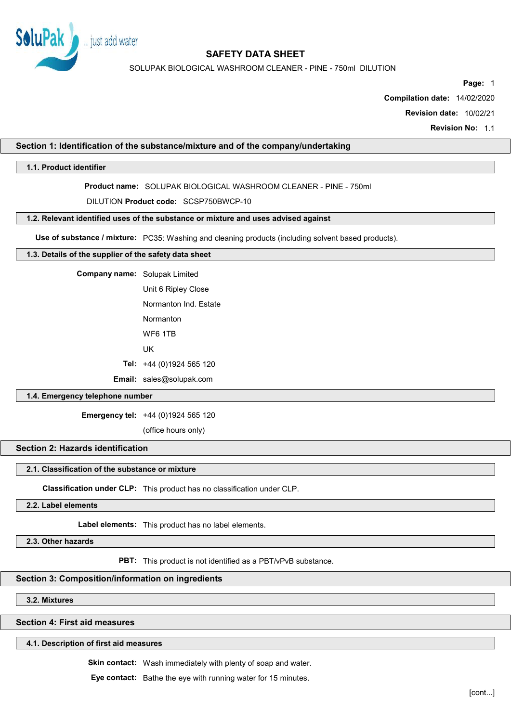

SOLUPAK BIOLOGICAL WASHROOM CLEANER - PINE - 750ml DILUTION

Page: 1

Compilation date: 14/02/2020

Revision date: 10/02/21

Revision No: 1.1

## Section 1: Identification of the substance/mixture and of the company/undertaking

## 1.1. Product identifier

Product name: SOLUPAK BIOLOGICAL WASHROOM CLEANER - PINE - 750ml

DILUTION Product code: SCSP750BWCP-10

### 1.2. Relevant identified uses of the substance or mixture and uses advised against

Use of substance / mixture: PC35: Washing and cleaning products (including solvent based products).

### 1.3. Details of the supplier of the safety data sheet

| Company name: Solupak Limited |                                 |  |
|-------------------------------|---------------------------------|--|
|                               | Unit 6 Ripley Close             |  |
|                               | Normanton Ind. Estate           |  |
|                               | Normanton                       |  |
|                               | WF6 1TB                         |  |
|                               | UK                              |  |
|                               | Tel: $+44(0)1924565120$         |  |
|                               | <b>Email:</b> sales@solupak.com |  |

# 1.4. Emergency telephone number

Emergency tel: +44 (0)1924 565 120

(office hours only)

# Section 2: Hazards identification

### 2.1. Classification of the substance or mixture

Classification under CLP: This product has no classification under CLP.

2.2. Label elements

Label elements: This product has no label elements.

2.3. Other hazards

PBT: This product is not identified as a PBT/vPvB substance.

# Section 3: Composition/information on ingredients

3.2. Mixtures

Section 4: First aid measures

## 4.1. Description of first aid measures

Skin contact: Wash immediately with plenty of soap and water.

Eye contact: Bathe the eye with running water for 15 minutes.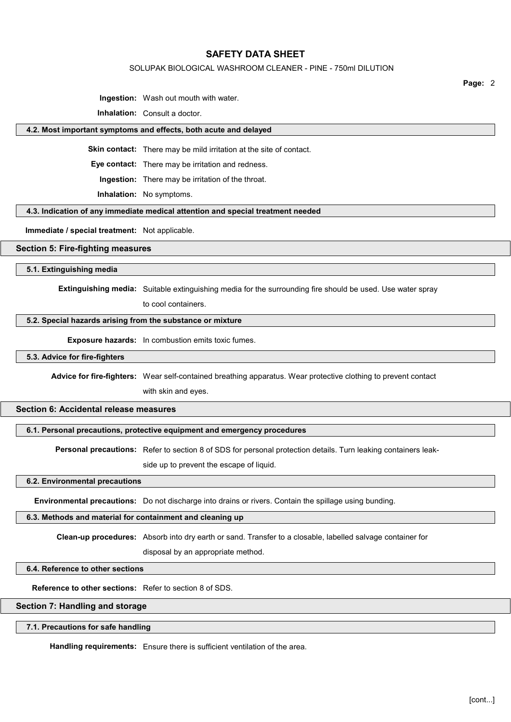### SOLUPAK BIOLOGICAL WASHROOM CLEANER - PINE - 750ml DILUTION

Page: 2

Ingestion: Wash out mouth with water.

Inhalation: Consult a doctor.

#### 4.2. Most important symptoms and effects, both acute and delayed

Skin contact: There may be mild irritation at the site of contact.

Eye contact: There may be irritation and redness.

Ingestion: There may be irritation of the throat.

Inhalation: No symptoms.

## 4.3. Indication of any immediate medical attention and special treatment needed

Immediate / special treatment: Not applicable.

## Section 5: Fire-fighting measures

5.1. Extinguishing media

Extinguishing media: Suitable extinguishing media for the surrounding fire should be used. Use water spray

to cool containers.

### 5.2. Special hazards arising from the substance or mixture

Exposure hazards: In combustion emits toxic fumes.

## 5.3. Advice for fire-fighters

Advice for fire-fighters: Wear self-contained breathing apparatus. Wear protective clothing to prevent contact

with skin and eyes.

# Section 6: Accidental release measures

### 6.1. Personal precautions, protective equipment and emergency procedures

Personal precautions: Refer to section 8 of SDS for personal protection details. Turn leaking containers leak-

side up to prevent the escape of liquid.

#### 6.2. Environmental precautions

Environmental precautions: Do not discharge into drains or rivers. Contain the spillage using bunding.

### 6.3. Methods and material for containment and cleaning up

Clean-up procedures: Absorb into dry earth or sand. Transfer to a closable, labelled salvage container for

disposal by an appropriate method.

## 6.4. Reference to other sections

Reference to other sections: Refer to section 8 of SDS.

## Section 7: Handling and storage

#### 7.1. Precautions for safe handling

Handling requirements: Ensure there is sufficient ventilation of the area.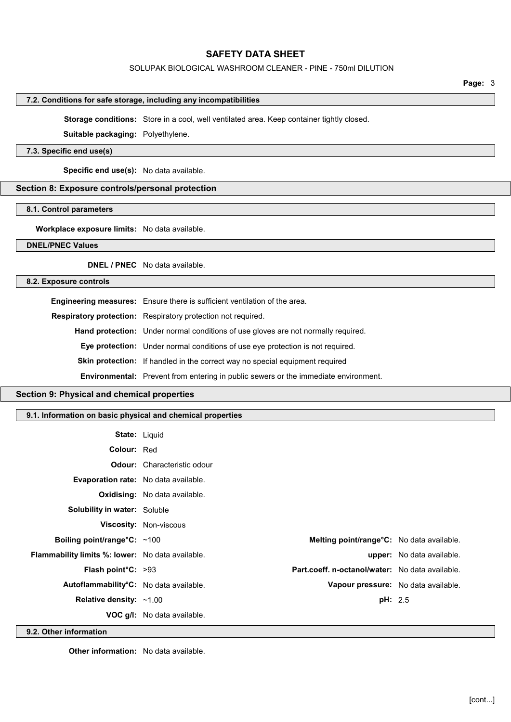## SOLUPAK BIOLOGICAL WASHROOM CLEANER - PINE - 750ml DILUTION

## 7.2. Conditions for safe storage, including any incompatibilities

Storage conditions: Store in a cool, well ventilated area. Keep container tightly closed.

Suitable packaging: Polyethylene.

# 7.3. Specific end use(s)

Specific end use(s): No data available.

# Section 8: Exposure controls/personal protection

### 8.1. Control parameters

Workplace exposure limits: No data available.

### DNEL/PNEC Values

DNEL / PNEC No data available.

## 8.2. Exposure controls

| Engineering measures: Ensure there is sufficient ventilation of the area.                  |
|--------------------------------------------------------------------------------------------|
| <b>Respiratory protection:</b> Respiratory protection not required.                        |
| <b>Hand protection:</b> Under normal conditions of use gloves are not normally required.   |
| <b>Eye protection:</b> Under normal conditions of use eye protection is not required.      |
| Skin protection: If handled in the correct way no special equipment required               |
| <b>Environmental:</b> Prevent from entering in public sewers or the immediate environment. |

# Section 9: Physical and chemical properties

## 9.1. Information on basic physical and chemical properties

| <b>State: Liquid</b>                                    |                                      |                                                 |                                  |
|---------------------------------------------------------|--------------------------------------|-------------------------------------------------|----------------------------------|
| <b>Colour: Red</b>                                      |                                      |                                                 |                                  |
|                                                         | <b>Odour:</b> Characteristic odour   |                                                 |                                  |
| <b>Evaporation rate:</b> No data available.             |                                      |                                                 |                                  |
|                                                         | <b>Oxidising:</b> No data available. |                                                 |                                  |
| <b>Solubility in water: Soluble</b>                     |                                      |                                                 |                                  |
|                                                         | <b>Viscosity: Non-viscous</b>        |                                                 |                                  |
| Boiling point/range $C: ~100$                           |                                      | Melting point/range°C: No data available.       |                                  |
| <b>Flammability limits %: lower:</b> No data available. |                                      |                                                 | <b>upper:</b> No data available. |
| <b>Flash point °C:</b> $>93$                            |                                      | Part.coeff. n-octanol/water: No data available. |                                  |
| Autoflammability°C: No data available.                  |                                      | Vapour pressure: No data available.             |                                  |
| Relative density: $~1.00$                               |                                      | pH: 2.5                                         |                                  |
|                                                         | <b>VOC g/l:</b> No data available.   |                                                 |                                  |

9.2. Other information

Other information: No data available.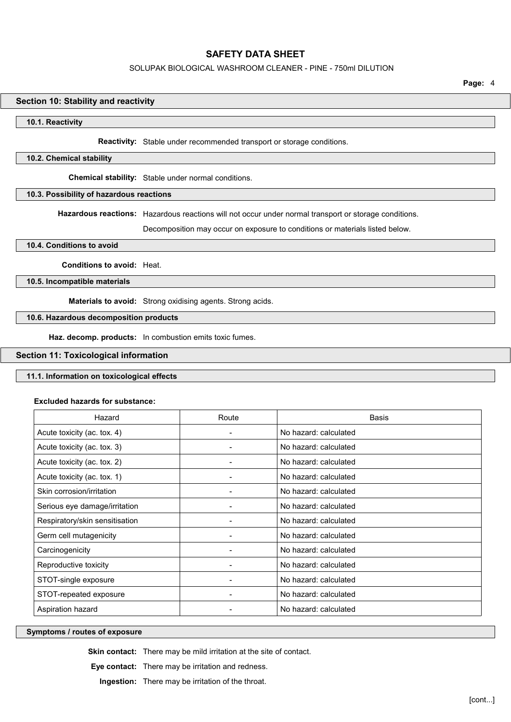## SOLUPAK BIOLOGICAL WASHROOM CLEANER - PINE - 750ml DILUTION

Page: 4

### Section 10: Stability and reactivity

### 10.1. Reactivity

Reactivity: Stable under recommended transport or storage conditions.

### 10.2. Chemical stability

Chemical stability: Stable under normal conditions.

## 10.3. Possibility of hazardous reactions

Hazardous reactions: Hazardous reactions will not occur under normal transport or storage conditions.

Decomposition may occur on exposure to conditions or materials listed below.

### 10.4. Conditions to avoid

### Conditions to avoid: Heat.

10.5. Incompatible materials

Materials to avoid: Strong oxidising agents. Strong acids.

# 10.6. Hazardous decomposition products

Haz. decomp. products: In combustion emits toxic fumes.

## Section 11: Toxicological information

# 11.1. Information on toxicological effects

### Excluded hazards for substance:

| Hazard                         | Route | <b>Basis</b>          |
|--------------------------------|-------|-----------------------|
| Acute toxicity (ac. tox. 4)    |       | No hazard: calculated |
| Acute toxicity (ac. tox. 3)    |       | No hazard: calculated |
| Acute toxicity (ac. tox. 2)    |       | No hazard: calculated |
| Acute toxicity (ac. tox. 1)    |       | No hazard: calculated |
| Skin corrosion/irritation      |       | No hazard: calculated |
| Serious eye damage/irritation  |       | No hazard: calculated |
| Respiratory/skin sensitisation |       | No hazard: calculated |
| Germ cell mutagenicity         |       | No hazard: calculated |
| Carcinogenicity                |       | No hazard: calculated |
| Reproductive toxicity          |       | No hazard: calculated |
| STOT-single exposure           |       | No hazard: calculated |
| STOT-repeated exposure         |       | No hazard: calculated |
| Aspiration hazard              |       | No hazard: calculated |

### Symptoms / routes of exposure

Skin contact: There may be mild irritation at the site of contact.

Eye contact: There may be irritation and redness.

Ingestion: There may be irritation of the throat.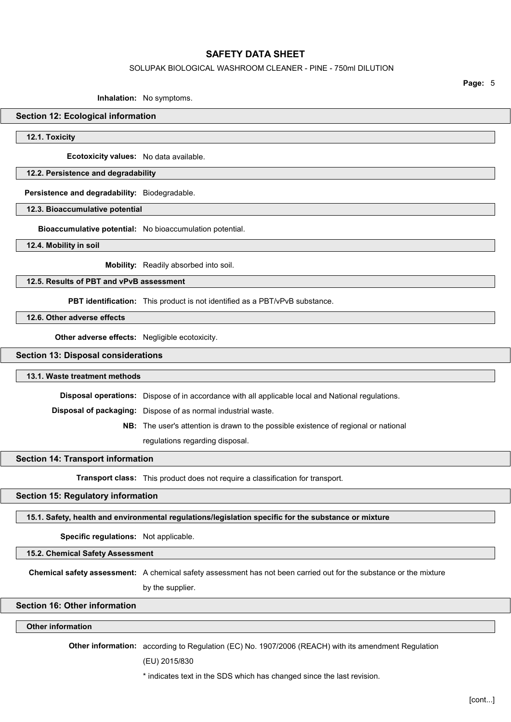### SOLUPAK BIOLOGICAL WASHROOM CLEANER - PINE - 750ml DILUTION

Page: 5

#### Inhalation: No symptoms.

### Section 12: Ecological information

12.1. Toxicity

Ecotoxicity values: No data available.

### 12.2. Persistence and degradability

Persistence and degradability: Biodegradable.

### 12.3. Bioaccumulative potential

Bioaccumulative potential: No bioaccumulation potential.

12.4. Mobility in soil

Mobility: Readily absorbed into soil.

## 12.5. Results of PBT and vPvB assessment

PBT identification: This product is not identified as a PBT/vPvB substance.

12.6. Other adverse effects

Other adverse effects: Negligible ecotoxicity.

### Section 13: Disposal considerations

#### 13.1. Waste treatment methods

Disposal operations: Dispose of in accordance with all applicable local and National regulations.

Disposal of packaging: Dispose of as normal industrial waste.

NB: The user's attention is drawn to the possible existence of regional or national

regulations regarding disposal.

## Section 14: Transport information

Transport class: This product does not require a classification for transport.

### Section 15: Regulatory information

#### 15.1. Safety, health and environmental regulations/legislation specific for the substance or mixture

Specific regulations: Not applicable.

15.2. Chemical Safety Assessment

Chemical safety assessment: A chemical safety assessment has not been carried out for the substance or the mixture

by the supplier.

# Section 16: Other information

## Other information

Other information: according to Regulation (EC) No. 1907/2006 (REACH) with its amendment Regulation

### (EU) 2015/830

\* indicates text in the SDS which has changed since the last revision.